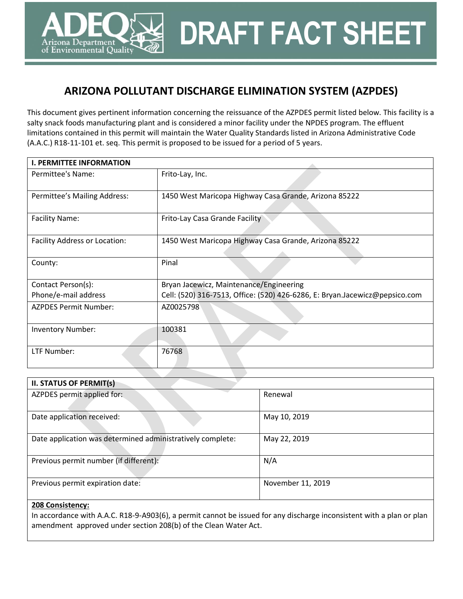# **ARIZONA POLLUTANT DISCHARGE ELIMINATION SYSTEM (AZPDES)**

**DRAFT FACT SHEET**

This document gives pertinent information concerning the reissuance of the AZPDES permit listed below. This facility is a salty snack foods manufacturing plant and is considered a minor facility under the NPDES program. The effluent limitations contained in this permit will maintain the Water Quality Standards listed in Arizona Administrative Code (A.A.C.) R18-11-101 et. seq. This permit is proposed to be issued for a period of 5 years.

| <b>I. PERMITTEE INFORMATION</b> |                                                                             |  |  |  |
|---------------------------------|-----------------------------------------------------------------------------|--|--|--|
| Permittee's Name:               | Frito-Lay, Inc.                                                             |  |  |  |
| Permittee's Mailing Address:    | 1450 West Maricopa Highway Casa Grande, Arizona 85222                       |  |  |  |
| <b>Facility Name:</b>           | Frito-Lay Casa Grande Facility                                              |  |  |  |
| Facility Address or Location:   | 1450 West Maricopa Highway Casa Grande, Arizona 85222                       |  |  |  |
| County:                         | Pinal                                                                       |  |  |  |
| Contact Person(s):              | Bryan Jacewicz, Maintenance/Engineering                                     |  |  |  |
| Phone/e-mail address            | Cell: (520) 316-7513, Office: (520) 426-6286, E: Bryan.Jacewicz@pepsico.com |  |  |  |
| <b>AZPDES Permit Number:</b>    | AZ0025798                                                                   |  |  |  |
| <b>Inventory Number:</b>        | 100381                                                                      |  |  |  |
| LTF Number:                     | 76768                                                                       |  |  |  |

| <b>II. STATUS OF PERMIT(s)</b>                             |                   |  |  |  |
|------------------------------------------------------------|-------------------|--|--|--|
| AZPDES permit applied for:                                 | Renewal           |  |  |  |
| Date application received:                                 | May 10, 2019      |  |  |  |
| Date application was determined administratively complete: | May 22, 2019      |  |  |  |
| Previous permit number (if different):                     | N/A               |  |  |  |
| Previous permit expiration date:                           | November 11, 2019 |  |  |  |

#### **208 Consistency:**

rizona Department of Environmental Quality

In accordance with A.A.C. R18-9-A903(6), a permit cannot be issued for any discharge inconsistent with a plan or plan amendment approved under section 208(b) of the Clean Water Act.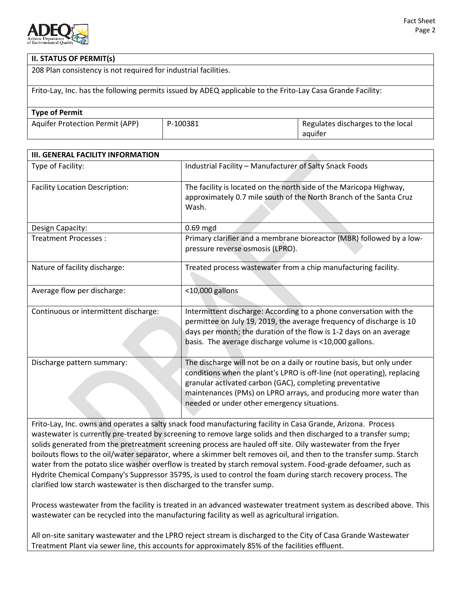

### **II. STATUS OF PERMIT(s)**

208 Plan consistency is not required for industrial facilities.

Frito-Lay, Inc. has the following permits issued by ADEQ applicable to the Frito-Lay Casa Grande Facility:

| <b>Type of Permit</b>                  |          |                                   |
|----------------------------------------|----------|-----------------------------------|
| <b>Aquifer Protection Permit (APP)</b> | P-100381 | Regulates discharges to the local |
|                                        |          | aquifer                           |

| <b>III. GENERAL FACILITY INFORMATION</b> |                                                                                                                                                                                                                                                                                                                                 |
|------------------------------------------|---------------------------------------------------------------------------------------------------------------------------------------------------------------------------------------------------------------------------------------------------------------------------------------------------------------------------------|
| Type of Facility:                        | Industrial Facility - Manufacturer of Salty Snack Foods                                                                                                                                                                                                                                                                         |
| <b>Facility Location Description:</b>    | The facility is located on the north side of the Maricopa Highway,<br>approximately 0.7 mile south of the North Branch of the Santa Cruz<br>Wash.                                                                                                                                                                               |
| Design Capacity:                         | $0.69$ mgd                                                                                                                                                                                                                                                                                                                      |
| Treatment Processes:                     | Primary clarifier and a membrane bioreactor (MBR) followed by a low-<br>pressure reverse osmosis (LPRO).                                                                                                                                                                                                                        |
| Nature of facility discharge:            | Treated process wastewater from a chip manufacturing facility.                                                                                                                                                                                                                                                                  |
| Average flow per discharge:              | <10,000 gallons                                                                                                                                                                                                                                                                                                                 |
| Continuous or intermittent discharge:    | Intermittent discharge: According to a phone conversation with the<br>permittee on July 19, 2019, the average frequency of discharge is 10<br>days per month; the duration of the flow is 1-2 days on an average<br>basis. The average discharge volume is <10,000 gallons.                                                     |
| Discharge pattern summary:               | The discharge will not be on a daily or routine basis, but only under<br>conditions when the plant's LPRO is off-line (not operating), replacing<br>granular activated carbon (GAC), completing preventative<br>maintenances (PMs) on LPRO arrays, and producing more water than<br>needed or under other emergency situations. |

Frito-Lay, Inc. owns and operates a salty snack food manufacturing facility in Casa Grande, Arizona. Process wastewater is currently pre-treated by screening to remove large solids and then discharged to a transfer sump; solids generated from the pretreatment screening process are hauled off site. Oily wastewater from the fryer boilouts flows to the oil/water separator, where a skimmer belt removes oil, and then to the transfer sump. Starch water from the potato slice washer overflow is treated by starch removal system. Food-grade defoamer, such as Hydrite Chemical Company's Suppressor 3579S, is used to control the foam during starch recovery process. The clarified low starch wastewater is then discharged to the transfer sump.

Process wastewater from the facility is treated in an advanced wastewater treatment system as described above. This wastewater can be recycled into the manufacturing facility as well as agricultural irrigation.

All on-site sanitary wastewater and the LPRO reject stream is discharged to the City of Casa Grande Wastewater Treatment Plant via sewer line, this accounts for approximately 85% of the facilities effluent.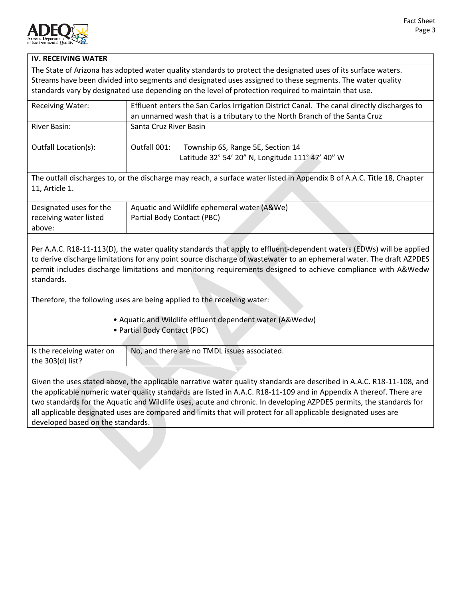

### **IV. RECEIVING WATER**

The State of Arizona has adopted water quality standards to protect the designated uses of its surface waters. Streams have been divided into segments and designated uses assigned to these segments. The water quality standards vary by designated use depending on the level of protection required to maintain that use.

| <b>Receiving Water:</b>                                                                                                 | Effluent enters the San Carlos Irrigation District Canal. The canal directly discharges to |  |  |
|-------------------------------------------------------------------------------------------------------------------------|--------------------------------------------------------------------------------------------|--|--|
|                                                                                                                         | an unnamed wash that is a tributary to the North Branch of the Santa Cruz                  |  |  |
| River Basin:                                                                                                            | Santa Cruz River Basin                                                                     |  |  |
|                                                                                                                         |                                                                                            |  |  |
| Outfall Location(s):                                                                                                    | Outfall 001:<br>Township 6S, Range 5E, Section 14                                          |  |  |
|                                                                                                                         | Latitude 32° 54' 20" N, Longitude 111° 47' 40" W                                           |  |  |
|                                                                                                                         |                                                                                            |  |  |
| The outfall discharges to, or the discharge may reach, a surface water listed in Appendix B of A.A.C. Title 18, Chapter |                                                                                            |  |  |
| 11, Article 1.                                                                                                          |                                                                                            |  |  |

| Designated uses for the | Aquatic and Wildlife ephemeral water (A&We) |
|-------------------------|---------------------------------------------|
| receiving water listed  | Partial Body Contact (PBC)                  |
| above:                  |                                             |

Per A.A.C. R18-11-113(D), the water quality standards that apply to effluent-dependent waters (EDWs) will be applied to derive discharge limitations for any point source discharge of wastewater to an ephemeral water. The draft AZPDES permit includes discharge limitations and monitoring requirements designed to achieve compliance with A&Wedw standards.

Therefore, the following uses are being applied to the receiving water:

- Aquatic and Wildlife effluent dependent water (A&Wedw)
- Partial Body Contact (PBC)

| Is the receiving water on | No, and there are no TMDL issues associated. |  |
|---------------------------|----------------------------------------------|--|
| the 303(d) list?          |                                              |  |
|                           |                                              |  |

Given the uses stated above, the applicable narrative water quality standards are described in A.A.C. R18-11-108, and the applicable numeric water quality standards are listed in A.A.C. R18-11-109 and in Appendix A thereof. There are two standards for the Aquatic and Wildlife uses, acute and chronic. In developing AZPDES permits, the standards for all applicable designated uses are compared and limits that will protect for all applicable designated uses are developed based on the standards.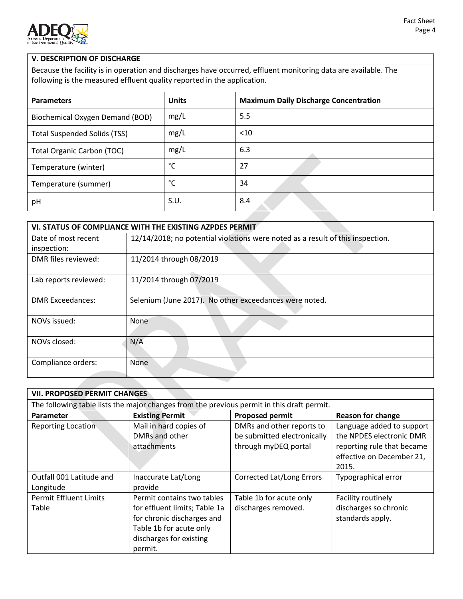

### **V. DESCRIPTION OF DISCHARGE**

Because the facility is in operation and discharges have occurred, effluent monitoring data are available. The following is the measured effluent quality reported in the application.

| <b>Parameters</b>                   | <b>Units</b> | <b>Maximum Daily Discharge Concentration</b> |
|-------------------------------------|--------------|----------------------------------------------|
| Biochemical Oxygen Demand (BOD)     | mg/L         | 5.5                                          |
| <b>Total Suspended Solids (TSS)</b> | mg/L         | $<$ 10                                       |
| <b>Total Organic Carbon (TOC)</b>   | mg/L         | 6.3                                          |
| Temperature (winter)                | °C           | 27                                           |
| Temperature (summer)                | °С           | 34                                           |
| pH                                  | S.U.         | 8.4                                          |

| VI. STATUS OF COMPLIANCE WITH THE EXISTING AZPDES PERMIT |                                                                                |  |  |
|----------------------------------------------------------|--------------------------------------------------------------------------------|--|--|
| Date of most recent                                      | 12/14/2018; no potential violations were noted as a result of this inspection. |  |  |
| inspection:                                              |                                                                                |  |  |
| DMR files reviewed:                                      | 11/2014 through 08/2019                                                        |  |  |
| Lab reports reviewed:                                    | 11/2014 through 07/2019                                                        |  |  |
| <b>DMR Exceedances:</b>                                  | Selenium (June 2017). No other exceedances were noted.                         |  |  |
| NOVs issued:                                             | None                                                                           |  |  |
| NOVs closed:                                             | N/A                                                                            |  |  |
| Compliance orders:                                       | <b>None</b>                                                                    |  |  |

|                                        | <b>VII. PROPOSED PERMIT CHANGES</b>                                                                                                                        |                                                                                            |                                                                                                                           |  |  |  |
|----------------------------------------|------------------------------------------------------------------------------------------------------------------------------------------------------------|--------------------------------------------------------------------------------------------|---------------------------------------------------------------------------------------------------------------------------|--|--|--|
|                                        |                                                                                                                                                            | The following table lists the major changes from the previous permit in this draft permit. |                                                                                                                           |  |  |  |
| <b>Parameter</b>                       | <b>Existing Permit</b><br><b>Proposed permit</b><br><b>Reason for change</b>                                                                               |                                                                                            |                                                                                                                           |  |  |  |
| <b>Reporting Location</b>              | Mail in hard copies of<br>DMRs and other<br>attachments                                                                                                    | DMRs and other reports to<br>be submitted electronically<br>through myDEQ portal           | Language added to support<br>the NPDES electronic DMR<br>reporting rule that became<br>effective on December 21,<br>2015. |  |  |  |
| Outfall 001 Latitude and<br>Longitude  | Inaccurate Lat/Long<br>provide                                                                                                                             | <b>Corrected Lat/Long Errors</b>                                                           | Typographical error                                                                                                       |  |  |  |
| <b>Permit Effluent Limits</b><br>Table | Permit contains two tables<br>for effluent limits; Table 1a<br>for chronic discharges and<br>Table 1b for acute only<br>discharges for existing<br>permit. | Table 1b for acute only<br>discharges removed.                                             | Facility routinely<br>discharges so chronic<br>standards apply.                                                           |  |  |  |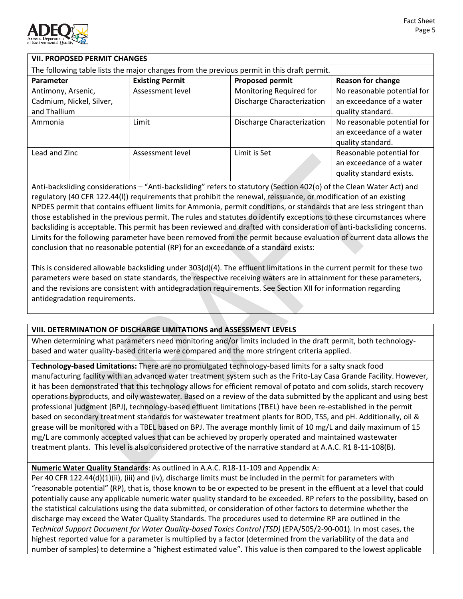

### **VII. PROPOSED PERMIT CHANGES**

| The following table lists the major changes from the previous permit in this draft permit. |                        |                            |                                                                                  |  |
|--------------------------------------------------------------------------------------------|------------------------|----------------------------|----------------------------------------------------------------------------------|--|
| <b>Parameter</b>                                                                           | <b>Existing Permit</b> | <b>Proposed permit</b>     | <b>Reason for change</b>                                                         |  |
| Antimony, Arsenic,                                                                         | Assessment level       | Monitoring Required for    | No reasonable potential for                                                      |  |
| Cadmium, Nickel, Silver,                                                                   |                        | Discharge Characterization | an exceedance of a water                                                         |  |
| and Thallium                                                                               |                        |                            | quality standard.                                                                |  |
| Ammonia                                                                                    | Limit                  | Discharge Characterization | No reasonable potential for<br>an exceedance of a water<br>quality standard.     |  |
| Lead and Zinc                                                                              | Assessment level       | Limit is Set               | Reasonable potential for<br>an exceedance of a water<br>quality standard exists. |  |

Anti-backsliding considerations – "Anti-backsliding" refers to statutory (Section 402(o) of the Clean Water Act) and regulatory (40 CFR 122.44(l)) requirements that prohibit the renewal, reissuance, or modification of an existing NPDES permit that contains effluent limits for Ammonia, permit conditions, or standards that are less stringent than those established in the previous permit. The rules and statutes do identify exceptions to these circumstances where backsliding is acceptable. This permit has been reviewed and drafted with consideration of anti-backsliding concerns. Limits for the following parameter have been removed from the permit because evaluation of current data allows the conclusion that no reasonable potential (RP) for an exceedance of a standard exists:

This is considered allowable backsliding under 303(d)(4). The effluent limitations in the current permit for these two parameters were based on state standards, the respective receiving waters are in attainment for these parameters, and the revisions are consistent with antidegradation requirements. See Section XII for information regarding antidegradation requirements.

### **VIII. DETERMINATION OF DISCHARGE LIMITATIONS and ASSESSMENT LEVELS**

When determining what parameters need monitoring and/or limits included in the draft permit, both technologybased and water quality-based criteria were compared and the more stringent criteria applied.

**Technology-based Limitations:** There are no promulgated technology-based limits for a salty snack food manufacturing facility with an advanced water treatment system such as the Frito-Lay Casa Grande Facility. However, it has been demonstrated that this technology allows for efficient removal of potato and com solids, starch recovery operations byproducts, and oily wastewater. Based on a review of the data submitted by the applicant and using best professional judgment (BPJ), technology-based effluent limitations (TBEL) have been re-established in the permit based on secondary treatment standards for wastewater treatment plants for BOD, TSS, and pH. Additionally, oil & grease will be monitored with a TBEL based on BPJ. The average monthly limit of 10 mg/L and daily maximum of 15 mg/L are commonly accepted values that can be achieved by properly operated and maintained wastewater treatment plants. This level is also considered protective of the narrative standard at A.A.C. R1 8-11-108(B).

**Numeric Water Quality Standards**: As outlined in A.A.C. R18-11-109 and Appendix A:

Per 40 CFR 122.44(d)(1)(ii), (iii) and (iv), discharge limits must be included in the permit for parameters with "reasonable potential" (RP), that is, those known to be or expected to be present in the effluent at a level that could potentially cause any applicable numeric water quality standard to be exceeded. RP refers to the possibility, based on the statistical calculations using the data submitted, or consideration of other factors to determine whether the discharge may exceed the Water Quality Standards. The procedures used to determine RP are outlined in the *Technical Support Document for Water Quality-based Toxics Control (TSD)* (EPA/505/2-90-001). In most cases, the highest reported value for a parameter is multiplied by a factor (determined from the variability of the data and number of samples) to determine a "highest estimated value". This value is then compared to the lowest applicable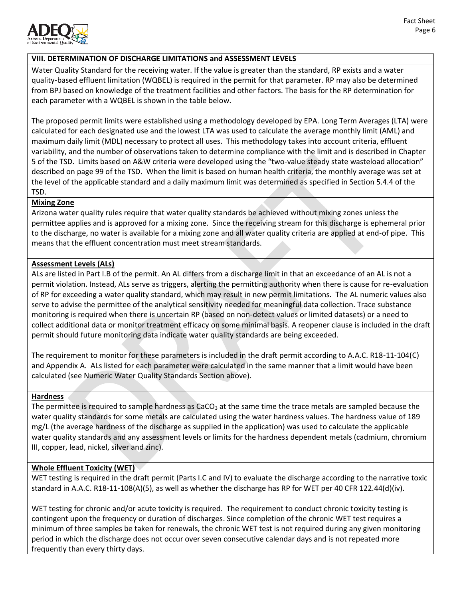

### **VIII. DETERMINATION OF DISCHARGE LIMITATIONS and ASSESSMENT LEVELS**

Water Quality Standard for the receiving water. If the value is greater than the standard, RP exists and a water quality-based effluent limitation (WQBEL) is required in the permit for that parameter. RP may also be determined from BPJ based on knowledge of the treatment facilities and other factors. The basis for the RP determination for each parameter with a WQBEL is shown in the table below.

The proposed permit limits were established using a methodology developed by EPA. Long Term Averages (LTA) were calculated for each designated use and the lowest LTA was used to calculate the average monthly limit (AML) and maximum daily limit (MDL) necessary to protect all uses. This methodology takes into account criteria, effluent variability, and the number of observations taken to determine compliance with the limit and is described in Chapter 5 of the TSD. Limits based on A&W criteria were developed using the "two-value steady state wasteload allocation" described on page 99 of the TSD. When the limit is based on human health criteria, the monthly average was set at the level of the applicable standard and a daily maximum limit was determined as specified in Section 5.4.4 of the TSD.

#### **Mixing Zone**

Arizona water quality rules require that water quality standards be achieved without mixing zones unless the permittee applies and is approved for a mixing zone. Since the receiving stream for this discharge is ephemeral prior to the discharge, no water is available for a mixing zone and all water quality criteria are applied at end-of pipe. This means that the effluent concentration must meet stream standards.

### **Assessment Levels (ALs)**

ALs are listed in Part I.B of the permit. An AL differs from a discharge limit in that an exceedance of an AL is not a permit violation. Instead, ALs serve as triggers, alerting the permitting authority when there is cause for re-evaluation of RP for exceeding a water quality standard, which may result in new permit limitations. The AL numeric values also serve to advise the permittee of the analytical sensitivity needed for meaningful data collection. Trace substance monitoring is required when there is uncertain RP (based on non-detect values or limited datasets) or a need to collect additional data or monitor treatment efficacy on some minimal basis. A reopener clause is included in the draft permit should future monitoring data indicate water quality standards are being exceeded.

The requirement to monitor for these parameters is included in the draft permit according to A.A.C. R18-11-104(C) and Appendix A. ALs listed for each parameter were calculated in the same manner that a limit would have been calculated (see Numeric Water Quality Standards Section above).

### **Hardness**

The permittee is required to sample hardness as  $CaCO<sub>3</sub>$  at the same time the trace metals are sampled because the water quality standards for some metals are calculated using the water hardness values. The hardness value of 189 mg/L (the average hardness of the discharge as supplied in the application) was used to calculate the applicable water quality standards and any assessment levels or limits for the hardness dependent metals (cadmium, chromium III, copper, lead, nickel, silver and zinc).

### **Whole Effluent Toxicity (WET)**

WET testing is required in the draft permit (Parts I.C and IV) to evaluate the discharge according to the narrative toxic standard in A.A.C. R18-11-108(A)(5), as well as whether the discharge has RP for WET per 40 CFR 122.44(d)(iv).

WET testing for chronic and/or acute toxicity is required. The requirement to conduct chronic toxicity testing is contingent upon the frequency or duration of discharges. Since completion of the chronic WET test requires a minimum of three samples be taken for renewals, the chronic WET test is not required during any given monitoring period in which the discharge does not occur over seven consecutive calendar days and is not repeated more frequently than every thirty days.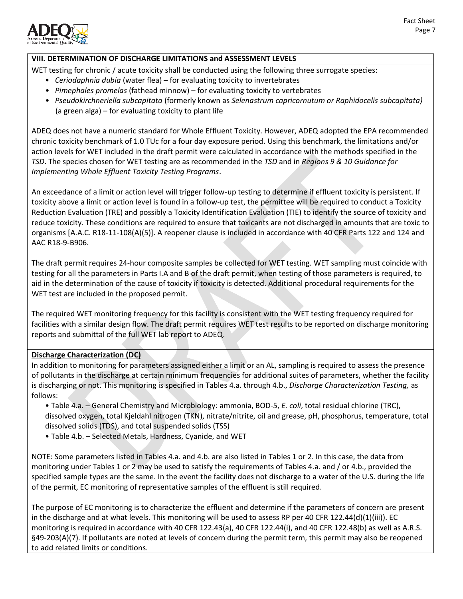

### **VIII. DETERMINATION OF DISCHARGE LIMITATIONS and ASSESSMENT LEVELS**

WET testing for chronic / acute toxicity shall be conducted using the following three surrogate species:

- *Ceriodaphnia dubia* (water flea) for evaluating toxicity to invertebrates
- *Pimephales promelas* (fathead minnow) for evaluating toxicity to vertebrates
- *Pseudokirchneriella subcapitata* (formerly known as *Selenastrum capricornutum or Raphidocelis subcapitata)* (a green alga) – for evaluating toxicity to plant life

ADEQ does not have a numeric standard for Whole Effluent Toxicity. However, ADEQ adopted the EPA recommended chronic toxicity benchmark of 1.0 TUc for a four day exposure period. Using this benchmark, the limitations and/or action levels for WET included in the draft permit were calculated in accordance with the methods specified in the *TSD*. The species chosen for WET testing are as recommended in the *TSD* and in *Regions 9 & 10 Guidance for Implementing Whole Effluent Toxicity Testing Programs*.

An exceedance of a limit or action level will trigger follow-up testing to determine if effluent toxicity is persistent. If toxicity above a limit or action level is found in a follow-up test, the permittee will be required to conduct a Toxicity Reduction Evaluation (TRE) and possibly a Toxicity Identification Evaluation (TIE) to identify the source of toxicity and reduce toxicity. These conditions are required to ensure that toxicants are not discharged in amounts that are toxic to organisms [A.A.C. R18-11-108(A)(5)]. A reopener clause is included in accordance with 40 CFR Parts 122 and 124 and AAC R18-9-B906.

The draft permit requires 24-hour composite samples be collected for WET testing. WET sampling must coincide with testing for all the parameters in Parts I.A and B of the draft permit, when testing of those parameters is required, to aid in the determination of the cause of toxicity if toxicity is detected. Additional procedural requirements for the WET test are included in the proposed permit.

The required WET monitoring frequency for this facility is consistent with the WET testing frequency required for facilities with a similar design flow. The draft permit requires WET test results to be reported on discharge monitoring reports and submittal of the full WET lab report to ADEQ.

### **Discharge Characterization (DC)**

In addition to monitoring for parameters assigned either a limit or an AL, sampling is required to assess the presence of pollutants in the discharge at certain minimum frequencies for additional suites of parameters, whether the facility is discharging or not. This monitoring is specified in Tables 4.a. through 4.b., *Discharge Characterization Testing,* as follows:

- Table 4.a. General Chemistry and Microbiology: ammonia, BOD-5, *E. coli*, total residual chlorine (TRC), dissolved oxygen, total Kjeldahl nitrogen (TKN), nitrate/nitrite, oil and grease, pH, phosphorus, temperature, total dissolved solids (TDS), and total suspended solids (TSS)
- Table 4.b. Selected Metals, Hardness, Cyanide, and WET

NOTE: Some parameters listed in Tables 4.a. and 4.b. are also listed in Tables 1 or 2. In this case, the data from monitoring under Tables 1 or 2 may be used to satisfy the requirements of Tables 4.a. and / or 4.b., provided the specified sample types are the same. In the event the facility does not discharge to a water of the U.S. during the life of the permit, EC monitoring of representative samples of the effluent is still required.

The purpose of EC monitoring is to characterize the effluent and determine if the parameters of concern are present in the discharge and at what levels. This monitoring will be used to assess RP per 40 CFR 122.44(d)(1)(iii)). EC monitoring is required in accordance with 40 CFR 122.43(a), 40 CFR 122.44(i), and 40 CFR 122.48(b) as well as A.R.S. §49-203(A)(7). If pollutants are noted at levels of concern during the permit term, this permit may also be reopened to add related limits or conditions.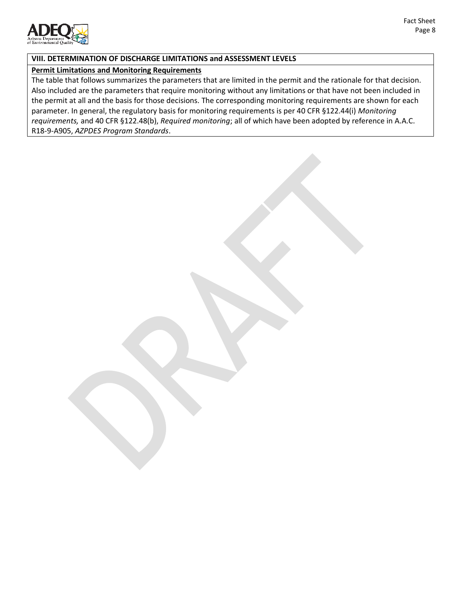

### **VIII. DETERMINATION OF DISCHARGE LIMITATIONS and ASSESSMENT LEVELS**

### **Permit Limitations and Monitoring Requirements**

The table that follows summarizes the parameters that are limited in the permit and the rationale for that decision. Also included are the parameters that require monitoring without any limitations or that have not been included in the permit at all and the basis for those decisions. The corresponding monitoring requirements are shown for each parameter. In general, the regulatory basis for monitoring requirements is per 40 CFR §122.44(i) *Monitoring requirements,* and 40 CFR §122.48(b), *Required monitoring*; all of which have been adopted by reference in A.A.C. R18-9-A905, *AZPDES Program Standards*.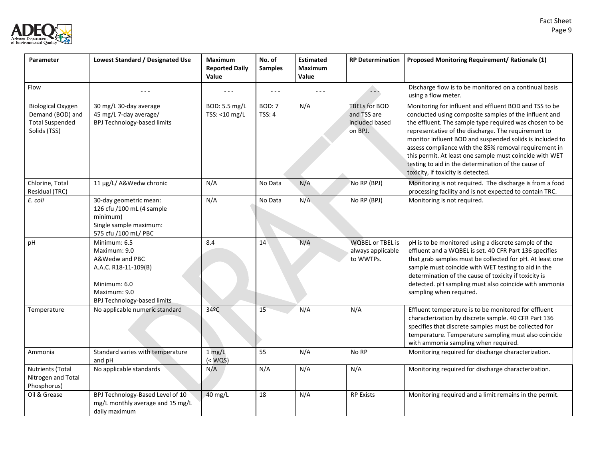

| Parameter                                                                              | Lowest Standard / Designated Use                                                                                                             | <b>Maximum</b><br><b>Reported Daily</b><br>Value | No. of<br><b>Samples</b>       | <b>Estimated</b><br><b>Maximum</b><br>Value | <b>RP Determination</b>                                          | Proposed Monitoring Requirement/ Rationale (1)                                                                                                                                                                                                                                                                                                                                                                                                                                                                 |
|----------------------------------------------------------------------------------------|----------------------------------------------------------------------------------------------------------------------------------------------|--------------------------------------------------|--------------------------------|---------------------------------------------|------------------------------------------------------------------|----------------------------------------------------------------------------------------------------------------------------------------------------------------------------------------------------------------------------------------------------------------------------------------------------------------------------------------------------------------------------------------------------------------------------------------------------------------------------------------------------------------|
| Flow                                                                                   |                                                                                                                                              |                                                  | $\sim$ $\sim$ $\sim$           | $ -$                                        | $\sim$ $\sim$ $\sim$                                             | Discharge flow is to be monitored on a continual basis<br>using a flow meter.                                                                                                                                                                                                                                                                                                                                                                                                                                  |
| <b>Biological Oxygen</b><br>Demand (BOD) and<br><b>Total Suspended</b><br>Solids (TSS) | 30 mg/L 30-day average<br>45 mg/L 7-day average/<br>BPJ Technology-based limits                                                              | BOD: 5.5 mg/L<br>TSS: <10 mg/L                   | <b>BOD: 7</b><br><b>TSS: 4</b> | N/A                                         | <b>TBELs for BOD</b><br>and TSS are<br>included based<br>on BPJ. | Monitoring for influent and effluent BOD and TSS to be<br>conducted using composite samples of the influent and<br>the effluent. The sample type required was chosen to be<br>representative of the discharge. The requirement to<br>monitor influent BOD and suspended solids is included to<br>assess compliance with the 85% removal requirement in<br>this permit. At least one sample must coincide with WET<br>testing to aid in the determination of the cause of<br>toxicity, if toxicity is detected. |
| Chlorine, Total<br>Residual (TRC)                                                      | 11 µg/L/ A&Wedw chronic                                                                                                                      | N/A                                              | No Data                        | N/A                                         | No RP (BPJ)                                                      | Monitoring is not required. The discharge is from a food<br>processing facility and is not expected to contain TRC.                                                                                                                                                                                                                                                                                                                                                                                            |
| E. coli                                                                                | 30-day geometric mean:<br>126 cfu /100 mL (4 sample<br>minimum)<br>Single sample maximum:<br>575 cfu /100 mL/ PBC                            | N/A                                              | No Data                        | N/A                                         | No RP (BPJ)                                                      | Monitoring is not required.                                                                                                                                                                                                                                                                                                                                                                                                                                                                                    |
| pH                                                                                     | Minimum: 6.5<br>Maximum: 9.0<br>A&Wedw and PBC<br>A.A.C. R18-11-109(B)<br>Minimum: 6.0<br>Maximum: 9.0<br><b>BPJ Technology-based limits</b> | 8.4                                              | 14                             | N/A                                         | <b>WQBEL or TBEL is</b><br>always applicable<br>to WWTPs.        | pH is to be monitored using a discrete sample of the<br>effluent and a WQBEL is set. 40 CFR Part 136 specifies<br>that grab samples must be collected for pH. At least one<br>sample must coincide with WET testing to aid in the<br>determination of the cause of toxicity if toxicity is<br>detected. pH sampling must also coincide with ammonia<br>sampling when required.                                                                                                                                 |
| Temperature                                                                            | No applicable numeric standard                                                                                                               | 34ºC                                             | 15                             | N/A                                         | N/A                                                              | Effluent temperature is to be monitored for effluent<br>characterization by discrete sample. 40 CFR Part 136<br>specifies that discrete samples must be collected for<br>temperature. Temperature sampling must also coincide<br>with ammonia sampling when required.                                                                                                                                                                                                                                          |
| Ammonia                                                                                | Standard varies with temperature<br>and pH                                                                                                   | $1$ mg/L<br>$(<$ WQS $)$                         | 55                             | N/A                                         | No RP                                                            | Monitoring required for discharge characterization.                                                                                                                                                                                                                                                                                                                                                                                                                                                            |
| Nutrients (Total<br>Nitrogen and Total<br>Phosphorus)                                  | No applicable standards                                                                                                                      | N/A                                              | N/A                            | N/A                                         | N/A                                                              | Monitoring required for discharge characterization.                                                                                                                                                                                                                                                                                                                                                                                                                                                            |
| Oil & Grease                                                                           | BPJ Technology-Based Level of 10<br>mg/L monthly average and 15 mg/L<br>daily maximum                                                        | 40 mg/L                                          | 18                             | N/A                                         | <b>RP Exists</b>                                                 | Monitoring required and a limit remains in the permit.                                                                                                                                                                                                                                                                                                                                                                                                                                                         |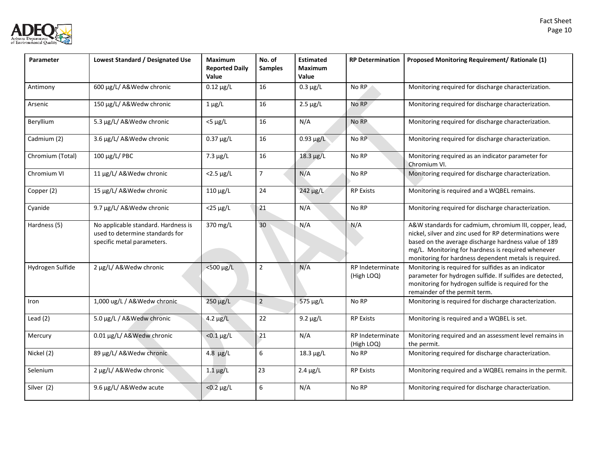

| Parameter        | Lowest Standard / Designated Use                                                                     | <b>Maximum</b><br><b>Reported Daily</b><br>Value | No. of<br><b>Samples</b> | <b>Estimated</b><br><b>Maximum</b><br>Value | <b>RP Determination</b>        | Proposed Monitoring Requirement/ Rationale (1)                                                                                                                                                                                                                                           |
|------------------|------------------------------------------------------------------------------------------------------|--------------------------------------------------|--------------------------|---------------------------------------------|--------------------------------|------------------------------------------------------------------------------------------------------------------------------------------------------------------------------------------------------------------------------------------------------------------------------------------|
| Antimony         | 600 µg/L/ A&Wedw chronic                                                                             | $0.12 \mu g/L$                                   | 16                       | $0.3 \mu g/L$                               | No RP                          | Monitoring required for discharge characterization.                                                                                                                                                                                                                                      |
| Arsenic          | 150 µg/L/ A&Wedw chronic                                                                             | $1 \mu g/L$                                      | 16                       | $2.5 \mu g/L$                               | No RP                          | Monitoring required for discharge characterization.                                                                                                                                                                                                                                      |
| Beryllium        | 5.3 µg/L/ A&Wedw chronic                                                                             | $<$ 5 µg/L                                       | 16                       | N/A                                         | No RP                          | Monitoring required for discharge characterization.                                                                                                                                                                                                                                      |
| Cadmium (2)      | 3.6 µg/L/ A&Wedw chronic                                                                             | $0.37 \mu g/L$                                   | 16                       | $0.93 \mu g/L$                              | No RP                          | Monitoring required for discharge characterization.                                                                                                                                                                                                                                      |
| Chromium (Total) | 100 μg/L/ PBC                                                                                        | $7.3 \mu g/L$                                    | 16                       | $18.3 \mu g/L$                              | No RP                          | Monitoring required as an indicator parameter for<br>Chromium VI.                                                                                                                                                                                                                        |
| Chromium VI      | 11 µg/L/ A&Wedw chronic                                                                              | $<$ 2.5 $\mu$ g/L                                | $\overline{7}$           | N/A                                         | No RP                          | Monitoring required for discharge characterization.                                                                                                                                                                                                                                      |
| Copper (2)       | 15 µg/L/ A&Wedw chronic                                                                              | $110 \mu g/L$                                    | 24                       | $242 \mu g/L$                               | <b>RP Exists</b>               | Monitoring is required and a WQBEL remains.                                                                                                                                                                                                                                              |
| Cyanide          | 9.7 µg/L/ A&Wedw chronic                                                                             | $<$ 25 $\mu$ g/L                                 | 21                       | N/A                                         | No RP                          | Monitoring required for discharge characterization.                                                                                                                                                                                                                                      |
| Hardness (5)     | No applicable standard. Hardness is<br>used to determine standards for<br>specific metal parameters. | 370 mg/L                                         | 30                       | N/A                                         | N/A                            | A&W standards for cadmium, chromium III, copper, lead,<br>nickel, silver and zinc used for RP determinations were<br>based on the average discharge hardness value of 189<br>mg/L. Monitoring for hardness is required whenever<br>monitoring for hardness dependent metals is required. |
| Hydrogen Sulfide | 2 µg/L/ A&Wedw chronic                                                                               | <500 µg/L                                        | $\overline{2}$           | N/A                                         | RP Indeterminate<br>(High LOQ) | Monitoring is required for sulfides as an indicator<br>parameter for hydrogen sulfide. If sulfides are detected,<br>monitoring for hydrogen sulfide is required for the<br>remainder of the permit term.                                                                                 |
| Iron             | 1,000 ug/L / A&Wedw chronic                                                                          | 250 µg/L                                         | $\sqrt{2}$               | 575 µg/L                                    | No RP                          | Monitoring is required for discharge characterization.                                                                                                                                                                                                                                   |
| Lead $(2)$       | 5.0 µg/L / A&Wedw chronic                                                                            | $4.2 \mu g/L$                                    | 22                       | $9.2 \mu g/L$                               | <b>RP Exists</b>               | Monitoring is required and a WQBEL is set.                                                                                                                                                                                                                                               |
| Mercury          | 0.01 µg/L/ A&Wedw chronic                                                                            | $< 0.1 \mu g/L$                                  | 21                       | N/A                                         | RP Indeterminate<br>(High LOQ) | Monitoring required and an assessment level remains in<br>the permit.                                                                                                                                                                                                                    |
| Nickel (2)       | 89 µg/L/ A&Wedw chronic                                                                              | $4.8 \mu g/L$                                    | 6                        | $18.3 \mu g/L$                              | No RP                          | Monitoring required for discharge characterization.                                                                                                                                                                                                                                      |
| Selenium         | 2 µg/L/ A&Wedw chronic                                                                               | $1.1 \mu g/L$                                    | 23                       | $2.4 \mu g/L$                               | <b>RP Exists</b>               | Monitoring required and a WQBEL remains in the permit.                                                                                                                                                                                                                                   |
| Silver (2)       | 9.6 µg/L/ A&Wedw acute                                                                               | $< 0.2 \mu g/L$                                  | 6                        | N/A                                         | No RP                          | Monitoring required for discharge characterization.                                                                                                                                                                                                                                      |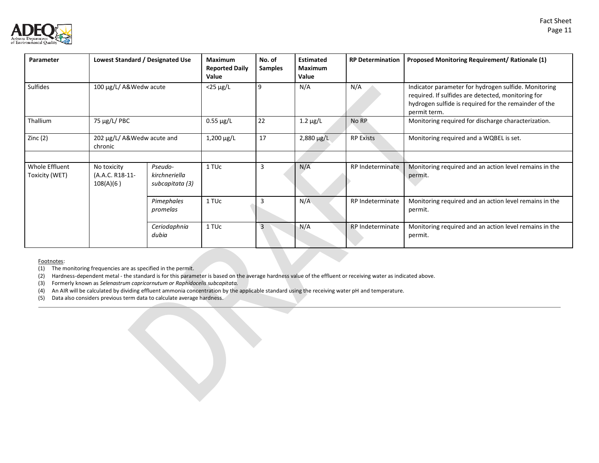



| Parameter                        | Lowest Standard / Designated Use            |                                             | Maximum<br><b>Reported Daily</b><br>Value | No. of<br><b>Samples</b> | <b>Estimated</b><br>Maximum<br>Value | <b>RP Determination</b> | Proposed Monitoring Requirement/ Rationale (1)                                                                                                                                      |
|----------------------------------|---------------------------------------------|---------------------------------------------|-------------------------------------------|--------------------------|--------------------------------------|-------------------------|-------------------------------------------------------------------------------------------------------------------------------------------------------------------------------------|
| <b>Sulfides</b>                  | 100 μg/L/ A&Wedw acute                      |                                             | $<$ 25 µg/L                               | 9                        | N/A                                  | N/A                     | Indicator parameter for hydrogen sulfide. Monitoring<br>required. If sulfides are detected, monitoring for<br>hydrogen sulfide is required for the remainder of the<br>permit term. |
| Thallium                         | 75 µg/L/ PBC                                |                                             | $0.55 \mu g/L$                            | 22                       | 1.2 $\mu$ g/L                        | No RP                   | Monitoring required for discharge characterization.                                                                                                                                 |
| Zinc $(2)$                       | 202 µg/L/ A&Wedw acute and<br>chronic       |                                             | $1,200 \mu g/L$                           | 17                       | $2,880 \,\mu g/L$                    | <b>RP Exists</b>        | Monitoring required and a WQBEL is set.                                                                                                                                             |
|                                  |                                             |                                             |                                           |                          |                                      |                         |                                                                                                                                                                                     |
| Whole Effluent<br>Toxicity (WET) | No toxicity<br>(A.A.C. R18-11-<br>108(A)(6) | Pseudo-<br>kirchneriella<br>subcapitata (3) | 1 TU <sub>c</sub>                         | 3                        | N/A                                  | RP Indeterminate        | Monitoring required and an action level remains in the<br>permit.                                                                                                                   |
|                                  |                                             | Pimephales<br>promelas                      | 1 TUc                                     |                          | N/A                                  | RP Indeterminate        | Monitoring required and an action level remains in the<br>permit.                                                                                                                   |
|                                  |                                             | Ceriodaphnia<br>dubia                       | 1 TUc                                     | 3                        | N/A                                  | <b>RP</b> Indeterminate | Monitoring required and an action level remains in the<br>permit.                                                                                                                   |

#### Footnotes:

(1) The monitoring frequencies are as specified in the permit.

(2) Hardness-dependent metal - the standard is for this parameter is based on the average hardness value of the effluent or receiving water as indicated above.

(3) Formerly known as *Selenastrum capricornutum or Raphidocelis subcapitata.*

(4) An AIR will be calculated by dividing effluent ammonia concentration by the applicable standard using the receiving water pH and temperature.

(5) Data also considers previous term data to calculate average hardness.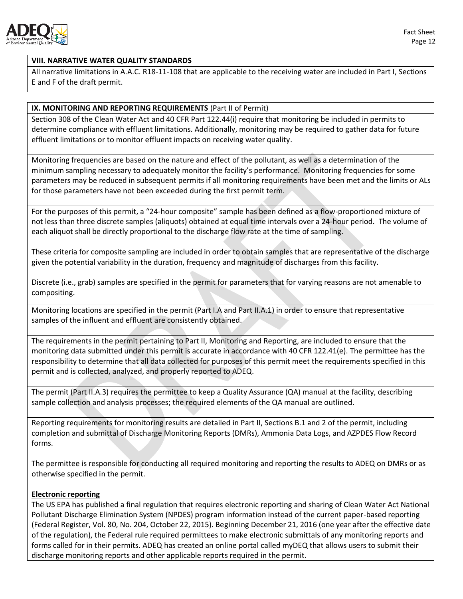

## **VIII. NARRATIVE WATER QUALITY STANDARDS**

All narrative limitations in A.A.C. R18-11-108 that are applicable to the receiving water are included in Part I, Sections E and F of the draft permit.

## **IX. MONITORING AND REPORTING REQUIREMENTS** (Part II of Permit)

Section 308 of the Clean Water Act and 40 CFR Part 122.44(i) require that monitoring be included in permits to determine compliance with effluent limitations. Additionally, monitoring may be required to gather data for future effluent limitations or to monitor effluent impacts on receiving water quality.

Monitoring frequencies are based on the nature and effect of the pollutant, as well as a determination of the minimum sampling necessary to adequately monitor the facility's performance. Monitoring frequencies for some parameters may be reduced in subsequent permits if all monitoring requirements have been met and the limits or ALs for those parameters have not been exceeded during the first permit term.

For the purposes of this permit, a "24-hour composite" sample has been defined as a flow-proportioned mixture of not less than three discrete samples (aliquots) obtained at equal time intervals over a 24-hour period. The volume of each aliquot shall be directly proportional to the discharge flow rate at the time of sampling.

These criteria for composite sampling are included in order to obtain samples that are representative of the discharge given the potential variability in the duration, frequency and magnitude of discharges from this facility.

Discrete (i.e., grab) samples are specified in the permit for parameters that for varying reasons are not amenable to compositing.

Monitoring locations are specified in the permit (Part I.A and Part II.A.1) in order to ensure that representative samples of the influent and effluent are consistently obtained.

The requirements in the permit pertaining to Part II, Monitoring and Reporting, are included to ensure that the monitoring data submitted under this permit is accurate in accordance with 40 CFR 122.41(e). The permittee has the responsibility to determine that all data collected for purposes of this permit meet the requirements specified in this permit and is collected, analyzed, and properly reported to ADEQ.

The permit (Part II.A.3) requires the permittee to keep a Quality Assurance (QA) manual at the facility, describing sample collection and analysis processes; the required elements of the QA manual are outlined.

Reporting requirements for monitoring results are detailed in Part II, Sections B.1 and 2 of the permit, including completion and submittal of Discharge Monitoring Reports (DMRs), Ammonia Data Logs, and AZPDES Flow Record forms.

The permittee is responsible for conducting all required monitoring and reporting the results to ADEQ on DMRs or as otherwise specified in the permit.

### **Electronic reporting**

The US EPA has published a final regulation that requires electronic reporting and sharing of Clean Water Act National Pollutant Discharge Elimination System (NPDES) program information instead of the current paper-based reporting (Federal Register, Vol. 80, No. 204, October 22, 2015). Beginning December 21, 2016 (one year after the effective date of the regulation), the Federal rule required permittees to make electronic submittals of any monitoring reports and forms called for in their permits. ADEQ has created an online portal called myDEQ that allows users to submit their discharge monitoring reports and other applicable reports required in the permit.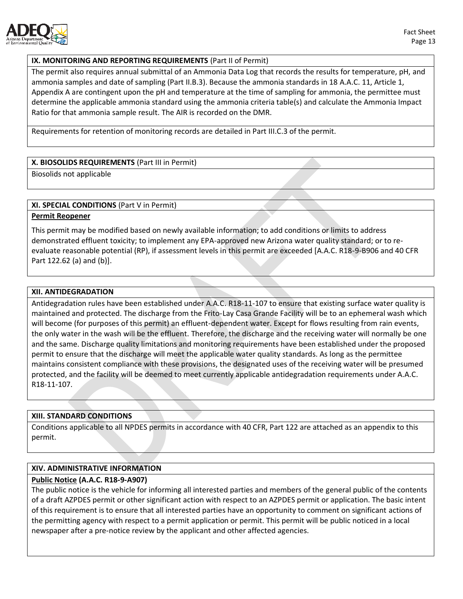

### **IX. MONITORING AND REPORTING REQUIREMENTS** (Part II of Permit)

The permit also requires annual submittal of an Ammonia Data Log that records the results for temperature, pH, and ammonia samples and date of sampling (Part II.B.3). Because the ammonia standards in 18 A.A.C. 11, Article 1, Appendix A are contingent upon the pH and temperature at the time of sampling for ammonia, the permittee must determine the applicable ammonia standard using the ammonia criteria table(s) and calculate the Ammonia Impact Ratio for that ammonia sample result. The AIR is recorded on the DMR.

Requirements for retention of monitoring records are detailed in Part III.C.3 of the permit.

### **X. BIOSOLIDS REQUIREMENTS** (Part III in Permit)

Biosolids not applicable

### **XI. SPECIAL CONDITIONS** (Part V in Permit)

### **Permit Reopener**

This permit may be modified based on newly available information; to add conditions or limits to address demonstrated effluent toxicity; to implement any EPA-approved new Arizona water quality standard; or to reevaluate reasonable potential (RP), if assessment levels in this permit are exceeded [A.A.C. R18-9-B906 and 40 CFR Part 122.62 (a) and (b)].

### **XII. ANTIDEGRADATION**

Antidegradation rules have been established under A.A.C. R18-11-107 to ensure that existing surface water quality is maintained and protected. The discharge from the Frito-Lay Casa Grande Facility will be to an ephemeral wash which will become (for purposes of this permit) an effluent-dependent water. Except for flows resulting from rain events, the only water in the wash will be the effluent. Therefore, the discharge and the receiving water will normally be one and the same. Discharge quality limitations and monitoring requirements have been established under the proposed permit to ensure that the discharge will meet the applicable water quality standards. As long as the permittee maintains consistent compliance with these provisions, the designated uses of the receiving water will be presumed protected, and the facility will be deemed to meet currently applicable antidegradation requirements under A.A.C. R18-11-107.

### **XIII. STANDARD CONDITIONS**

Conditions applicable to all NPDES permits in accordance with 40 CFR, Part 122 are attached as an appendix to this permit.

### **XIV. ADMINISTRATIVE INFORMATION**

### **Public Notice (A.A.C. R18-9-A907)**

The public notice is the vehicle for informing all interested parties and members of the general public of the contents of a draft AZPDES permit or other significant action with respect to an AZPDES permit or application. The basic intent of this requirement is to ensure that all interested parties have an opportunity to comment on significant actions of the permitting agency with respect to a permit application or permit. This permit will be public noticed in a local newspaper after a pre-notice review by the applicant and other affected agencies.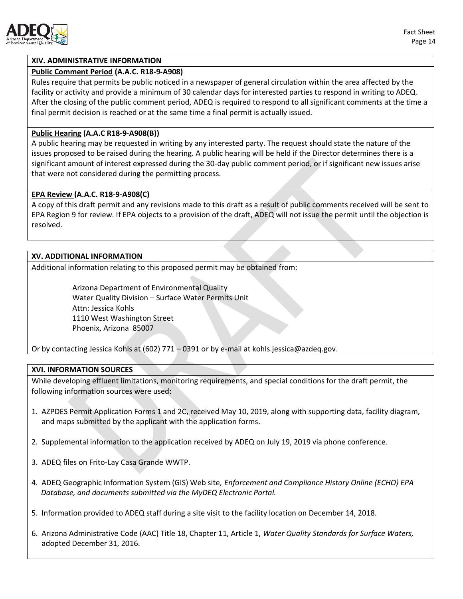

### **XIV. ADMINISTRATIVE INFORMATION**

#### **Public Comment Period (A.A.C. R18-9-A908)**

Rules require that permits be public noticed in a newspaper of general circulation within the area affected by the facility or activity and provide a minimum of 30 calendar days for interested parties to respond in writing to ADEQ. After the closing of the public comment period, ADEQ is required to respond to all significant comments at the time a final permit decision is reached or at the same time a final permit is actually issued.

#### **Public Hearing (A.A.C R18-9-A908(B))**

A public hearing may be requested in writing by any interested party. The request should state the nature of the issues proposed to be raised during the hearing. A public hearing will be held if the Director determines there is a significant amount of interest expressed during the 30-day public comment period, or if significant new issues arise that were not considered during the permitting process.

#### **EPA Review (A.A.C. R18-9-A908(C)**

A copy of this draft permit and any revisions made to this draft as a result of public comments received will be sent to EPA Region 9 for review. If EPA objects to a provision of the draft, ADEQ will not issue the permit until the objection is resolved.

#### **XV. ADDITIONAL INFORMATION**

Additional information relating to this proposed permit may be obtained from:

Arizona Department of Environmental Quality Water Quality Division – Surface Water Permits Unit Attn: Jessica Kohls 1110 West Washington Street Phoenix, Arizona 85007

Or by contacting Jessica Kohls at (602) 771 – 0391 or by e-mail a[t kohls.jessica@azdeq.gov.](mailto:kohls.jessica@azdeq.gov)

### **XVI. INFORMATION SOURCES**

While developing effluent limitations, monitoring requirements, and special conditions for the draft permit, the following information sources were used:

- 1. AZPDES Permit Application Forms 1 and 2C, received May 10, 2019, along with supporting data, facility diagram, and maps submitted by the applicant with the application forms.
- 2. Supplemental information to the application received by ADEQ on July 19, 2019 via phone conference.
- 3. ADEQ files on Frito-Lay Casa Grande WWTP.
- 4. ADEQ Geographic Information System (GIS) Web site*, Enforcement and Compliance History Online (ECHO) EPA Database, and documents submitted via the MyDEQ Electronic Portal.*
- 5. Information provided to ADEQ staff during a site visit to the facility location on December 14, 2018.
- 6. Arizona Administrative Code (AAC) Title 18, Chapter 11, Article 1, *Water Quality Standards for Surface Waters,* adopted December 31, 2016.